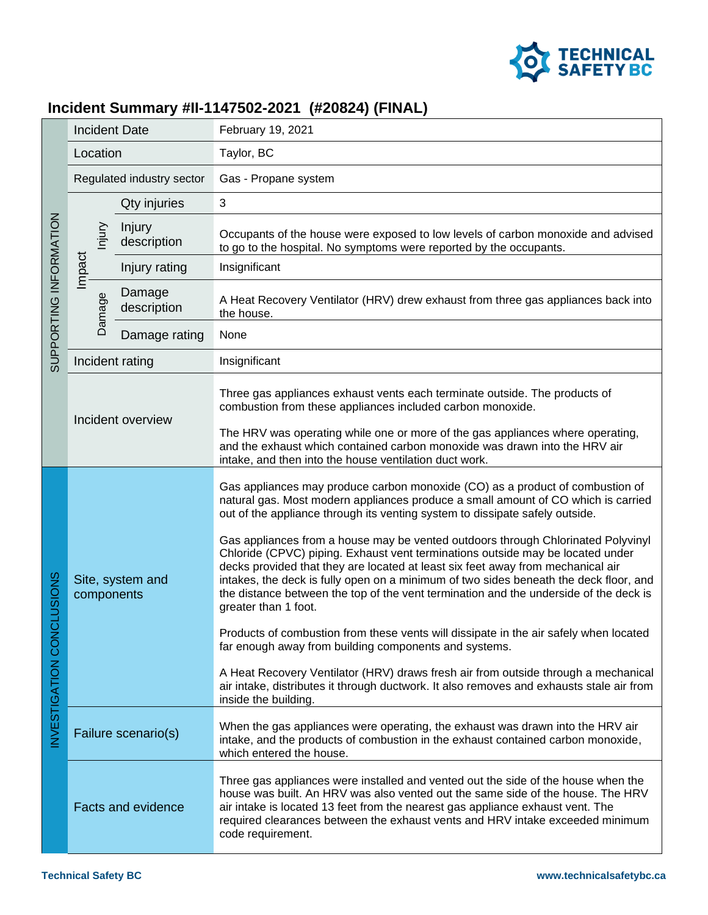

## **Incident Summary #II-1147502-2021 (#20824) (FINAL)**

| SUPPORTING INFORMATION               | <b>Incident Date</b>           |                       | February 19, 2021                                                                                                                                                                                                                                                                                                                                                                                                                                                                                                                                                                                                                                                                                                                                                                                                                                                                                                                                                                                                                                                                 |
|--------------------------------------|--------------------------------|-----------------------|-----------------------------------------------------------------------------------------------------------------------------------------------------------------------------------------------------------------------------------------------------------------------------------------------------------------------------------------------------------------------------------------------------------------------------------------------------------------------------------------------------------------------------------------------------------------------------------------------------------------------------------------------------------------------------------------------------------------------------------------------------------------------------------------------------------------------------------------------------------------------------------------------------------------------------------------------------------------------------------------------------------------------------------------------------------------------------------|
|                                      | Location                       |                       | Taylor, BC                                                                                                                                                                                                                                                                                                                                                                                                                                                                                                                                                                                                                                                                                                                                                                                                                                                                                                                                                                                                                                                                        |
|                                      | Regulated industry sector      |                       | Gas - Propane system                                                                                                                                                                                                                                                                                                                                                                                                                                                                                                                                                                                                                                                                                                                                                                                                                                                                                                                                                                                                                                                              |
|                                      | Niniu<br>Impact<br>Damage      | Qty injuries          | 3                                                                                                                                                                                                                                                                                                                                                                                                                                                                                                                                                                                                                                                                                                                                                                                                                                                                                                                                                                                                                                                                                 |
|                                      |                                | Injury<br>description | Occupants of the house were exposed to low levels of carbon monoxide and advised<br>to go to the hospital. No symptoms were reported by the occupants.                                                                                                                                                                                                                                                                                                                                                                                                                                                                                                                                                                                                                                                                                                                                                                                                                                                                                                                            |
|                                      |                                | Injury rating         | Insignificant                                                                                                                                                                                                                                                                                                                                                                                                                                                                                                                                                                                                                                                                                                                                                                                                                                                                                                                                                                                                                                                                     |
|                                      |                                | Damage<br>description | A Heat Recovery Ventilator (HRV) drew exhaust from three gas appliances back into<br>the house.                                                                                                                                                                                                                                                                                                                                                                                                                                                                                                                                                                                                                                                                                                                                                                                                                                                                                                                                                                                   |
|                                      |                                | Damage rating         | None                                                                                                                                                                                                                                                                                                                                                                                                                                                                                                                                                                                                                                                                                                                                                                                                                                                                                                                                                                                                                                                                              |
|                                      | Incident rating                |                       | Insignificant                                                                                                                                                                                                                                                                                                                                                                                                                                                                                                                                                                                                                                                                                                                                                                                                                                                                                                                                                                                                                                                                     |
|                                      | Incident overview              |                       | Three gas appliances exhaust vents each terminate outside. The products of<br>combustion from these appliances included carbon monoxide.<br>The HRV was operating while one or more of the gas appliances where operating,<br>and the exhaust which contained carbon monoxide was drawn into the HRV air<br>intake, and then into the house ventilation duct work.                                                                                                                                                                                                                                                                                                                                                                                                                                                                                                                                                                                                                                                                                                                |
| VCLUSIONS<br><b>NVESTIGATION COI</b> | Site, system and<br>components |                       | Gas appliances may produce carbon monoxide (CO) as a product of combustion of<br>natural gas. Most modern appliances produce a small amount of CO which is carried<br>out of the appliance through its venting system to dissipate safely outside.<br>Gas appliances from a house may be vented outdoors through Chlorinated Polyvinyl<br>Chloride (CPVC) piping. Exhaust vent terminations outside may be located under<br>decks provided that they are located at least six feet away from mechanical air<br>intakes, the deck is fully open on a minimum of two sides beneath the deck floor, and<br>the distance between the top of the vent termination and the underside of the deck is<br>greater than 1 foot.<br>Products of combustion from these vents will dissipate in the air safely when located<br>far enough away from building components and systems.<br>A Heat Recovery Ventilator (HRV) draws fresh air from outside through a mechanical<br>air intake, distributes it through ductwork. It also removes and exhausts stale air from<br>inside the building. |
|                                      | Failure scenario(s)            |                       | When the gas appliances were operating, the exhaust was drawn into the HRV air<br>intake, and the products of combustion in the exhaust contained carbon monoxide,<br>which entered the house.                                                                                                                                                                                                                                                                                                                                                                                                                                                                                                                                                                                                                                                                                                                                                                                                                                                                                    |
|                                      | <b>Facts and evidence</b>      |                       | Three gas appliances were installed and vented out the side of the house when the<br>house was built. An HRV was also vented out the same side of the house. The HRV<br>air intake is located 13 feet from the nearest gas appliance exhaust vent. The<br>required clearances between the exhaust vents and HRV intake exceeded minimum<br>code requirement.                                                                                                                                                                                                                                                                                                                                                                                                                                                                                                                                                                                                                                                                                                                      |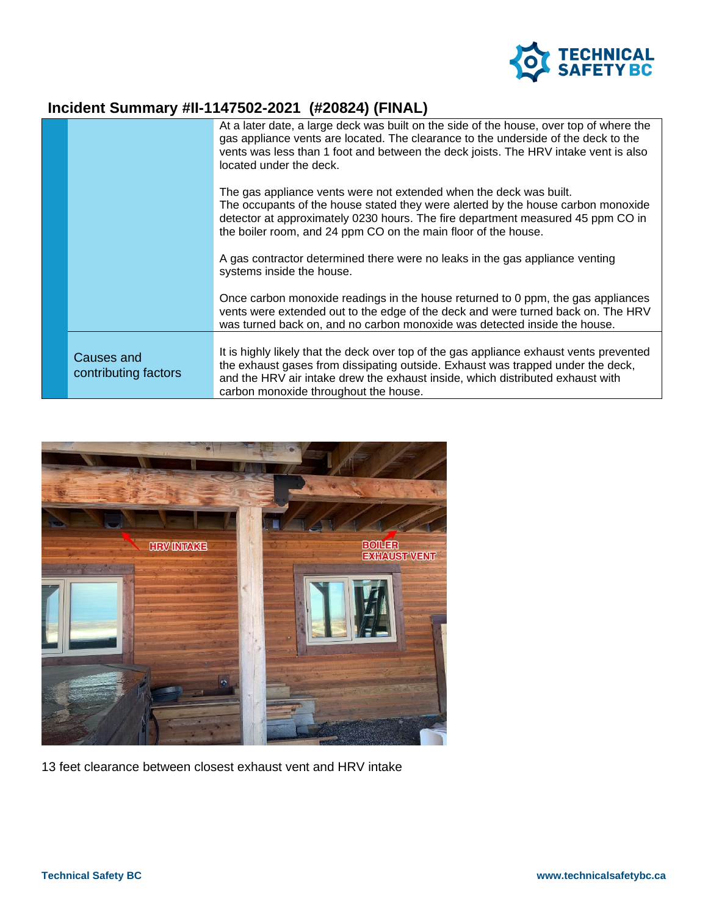

## **Incident Summary #II-1147502-2021 (#20824) (FINAL)**

|                                    | At a later date, a large deck was built on the side of the house, over top of where the<br>gas appliance vents are located. The clearance to the underside of the deck to the<br>vents was less than 1 foot and between the deck joists. The HRV intake vent is also<br>located under the deck.             |
|------------------------------------|-------------------------------------------------------------------------------------------------------------------------------------------------------------------------------------------------------------------------------------------------------------------------------------------------------------|
|                                    | The gas appliance vents were not extended when the deck was built.<br>The occupants of the house stated they were alerted by the house carbon monoxide<br>detector at approximately 0230 hours. The fire department measured 45 ppm CO in<br>the boiler room, and 24 ppm CO on the main floor of the house. |
|                                    | A gas contractor determined there were no leaks in the gas appliance venting<br>systems inside the house.                                                                                                                                                                                                   |
|                                    | Once carbon monoxide readings in the house returned to 0 ppm, the gas appliances<br>vents were extended out to the edge of the deck and were turned back on. The HRV<br>was turned back on, and no carbon monoxide was detected inside the house.                                                           |
| Causes and<br>contributing factors | It is highly likely that the deck over top of the gas appliance exhaust vents prevented<br>the exhaust gases from dissipating outside. Exhaust was trapped under the deck,<br>and the HRV air intake drew the exhaust inside, which distributed exhaust with<br>carbon monoxide throughout the house.       |



13 feet clearance between closest exhaust vent and HRV intake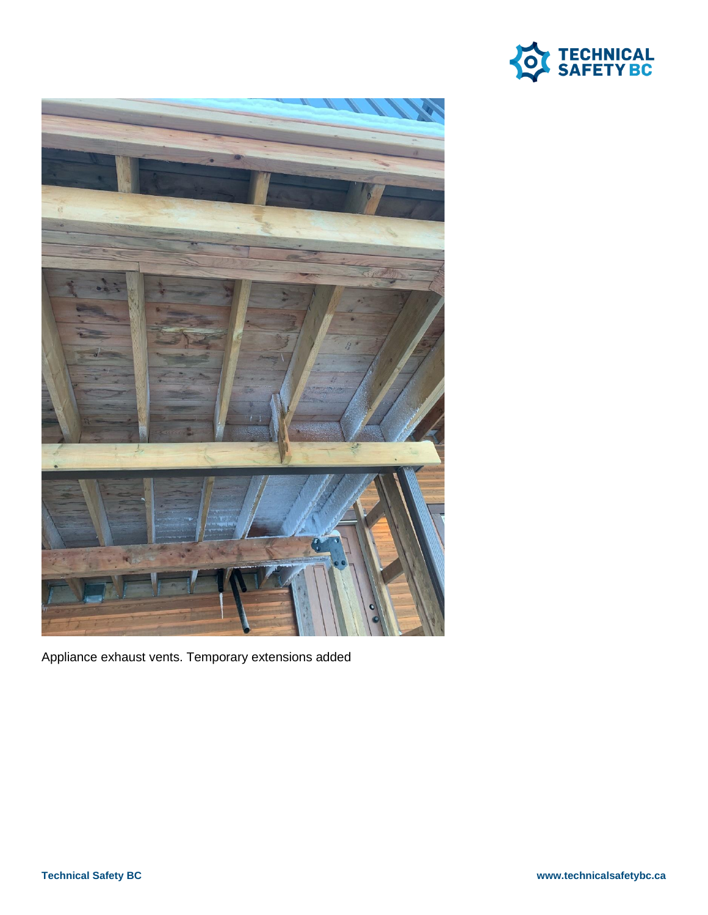



Appliance exhaust vents. Temporary extensions added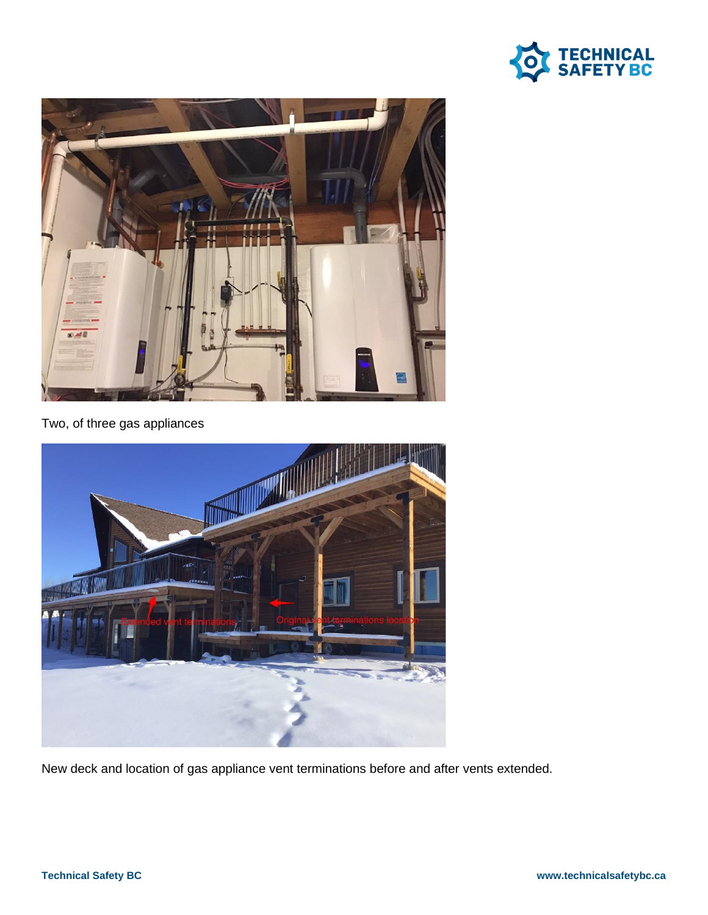



Two, of three gas appliances



New deck and location of gas appliance vent terminations before and after vents extended.